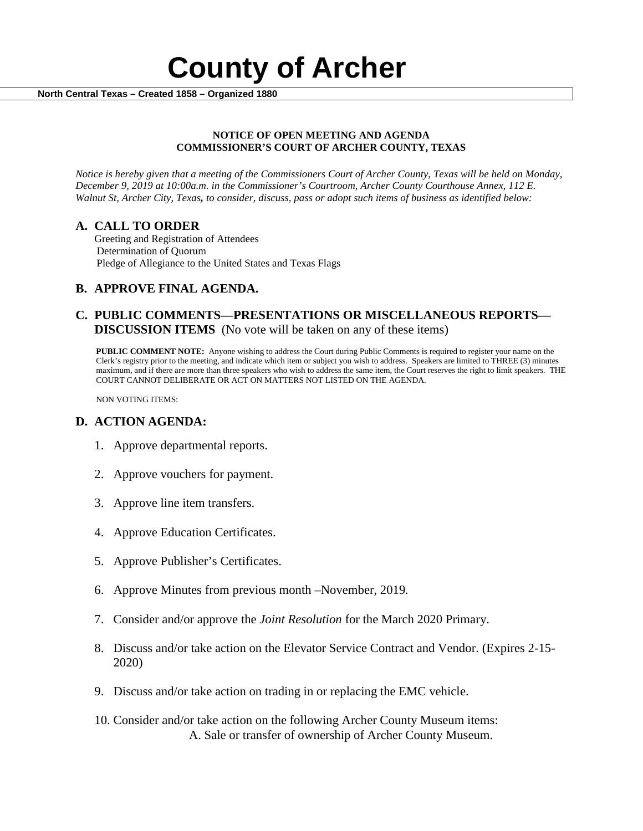

#### **NOTICE OF OPEN MEETING AND AGENDA COMMISSIONER'S COURT OF ARCHER COUNTY, TEXAS**

*Notice is hereby given that a meeting of the Commissioners Court of Archer County, Texas will be held on Monday, December 9, 2019 at 10:00a.m. in the Commissioner's Courtroom, Archer County Courthouse Annex, 112 E. Walnut St, Archer City, Texas, to consider, discuss, pass or adopt such items of business as identified below:*

**A. CALL TO ORDER** Greeting and Registration of Attendees Determination of Quorum Pledge of Allegiance to the United States and Texas Flags

# **B. APPROVE FINAL AGENDA.**

# **C. PUBLIC COMMENTS—PRESENTATIONS OR MISCELLANEOUS REPORTS— DISCUSSION ITEMS** (No vote will be taken on any of these items)

**PUBLIC COMMENT NOTE:** Anyone wishing to address the Court during Public Comments is required to register your name on the Clerk's registry prior to the meeting, and indicate which item or subject you wish to address. Speakers are limited to THREE (3) minutes maximum, and if there are more than three speakers who wish to address the same item, the Court reserves the right to limit speakers. THE COURT CANNOT DELIBERATE OR ACT ON MATTERS NOT LISTED ON THE AGENDA.

NON VOTING ITEMS:

### **D. ACTION AGENDA:**

- 1. Approve departmental reports.
- 2. Approve vouchers for payment.
- 3. Approve line item transfers.
- 4. Approve Education Certificates.
- 5. Approve Publisher's Certificates.
- 6. Approve Minutes from previous month –November, 2019*.*
- 7. Consider and/or approve the *Joint Resolution* for the March 2020 Primary.
- 8. Discuss and/or take action on the Elevator Service Contract and Vendor. (Expires 2-15- 2020)
- 9. Discuss and/or take action on trading in or replacing the EMC vehicle.
- 10. Consider and/or take action on the following Archer County Museum items: A. Sale or transfer of ownership of Archer County Museum.